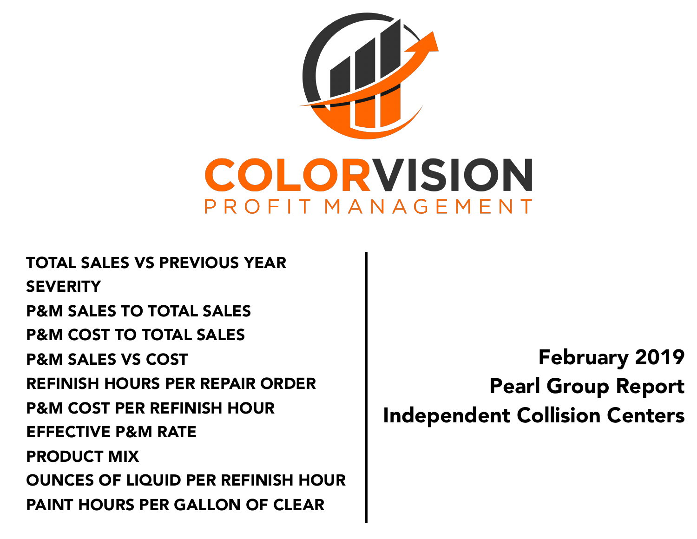

TOTAL SALES VS PREVIOUS YEAR **SEVERITY** P&M SALES TO TOTAL SALES P&M COST TO TOTAL SALES P&M SALES VS COST REFINISH HOURS PER REPAIR ORDER P&M COST PER REFINISH HOUR EFFECTIVE P&M RATE PRODUCT MIX OUNCES OF LIQUID PER REFINISH HOUR PAINT HOURS PER GALLON OF CLEAR

February 2019 Pearl Group Report Independent Collision Centers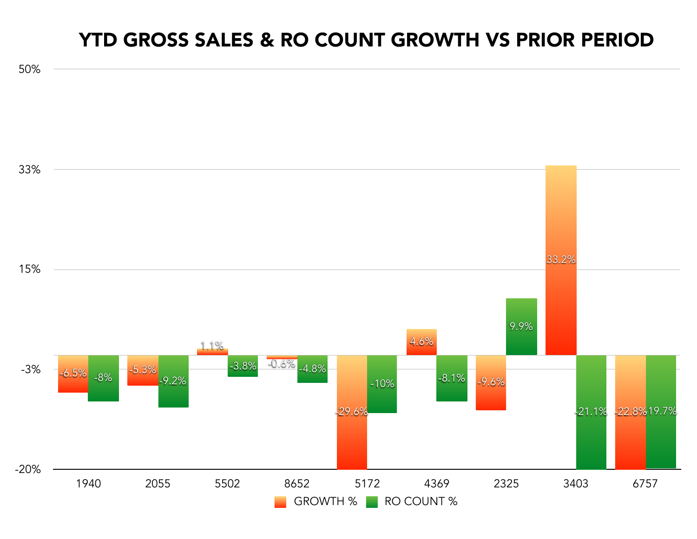#### YTD GROSS SALES & RO COUNT GROWTH VS PRIOR PERIOD

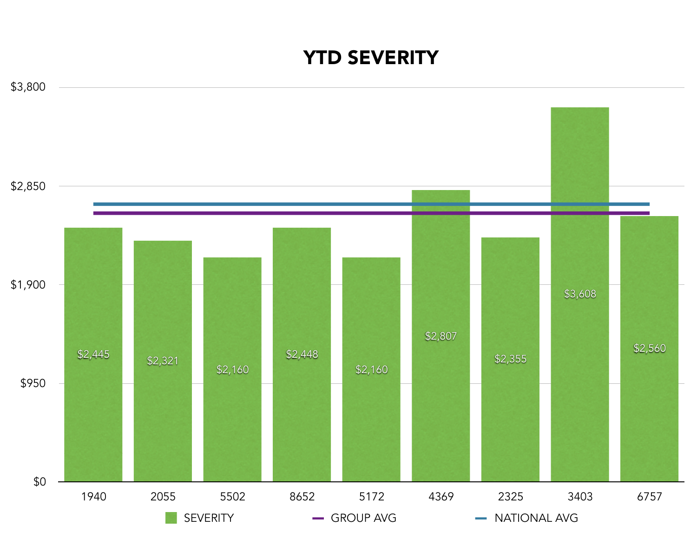## YTD SEVERITY

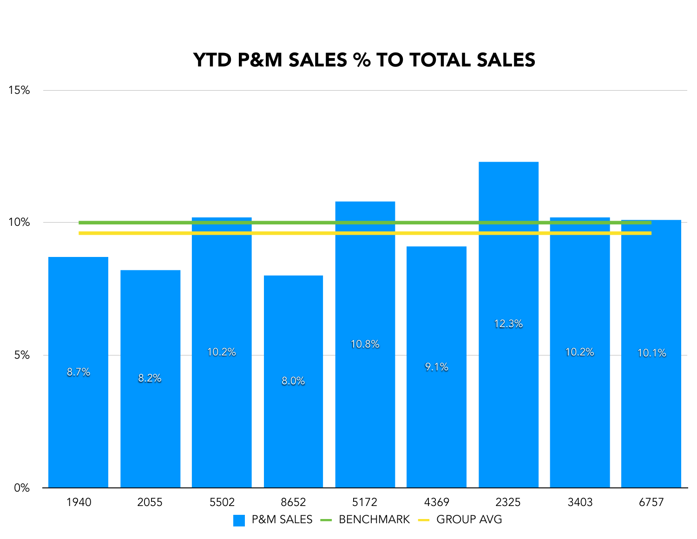#### YTD P&M SALES % TO TOTAL SALES

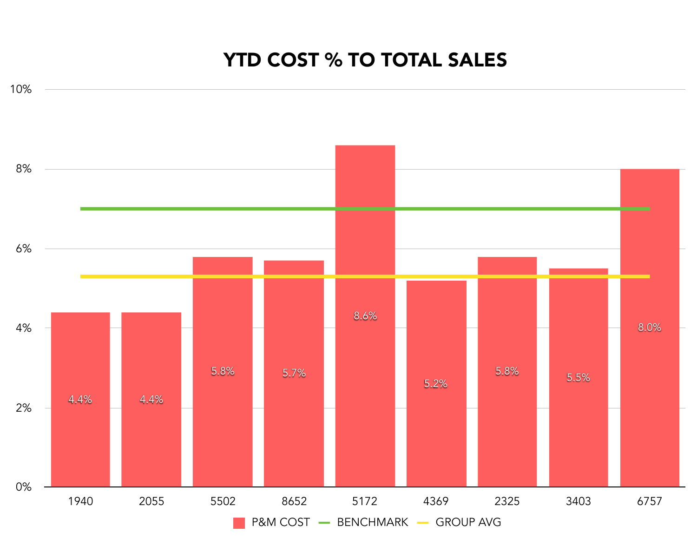0% 2% 4% 6% 8% 10% 8.0% 5.5% 5.8% 5.2% 8.6% 5.8% 5.7% 4.4% 4.4%

1940 2055 5502 8652 5172 4369 2325 3403 6757

P&M COST - BENCHMARK - GROUP AVG

# YTD COST % TO TOTAL SALES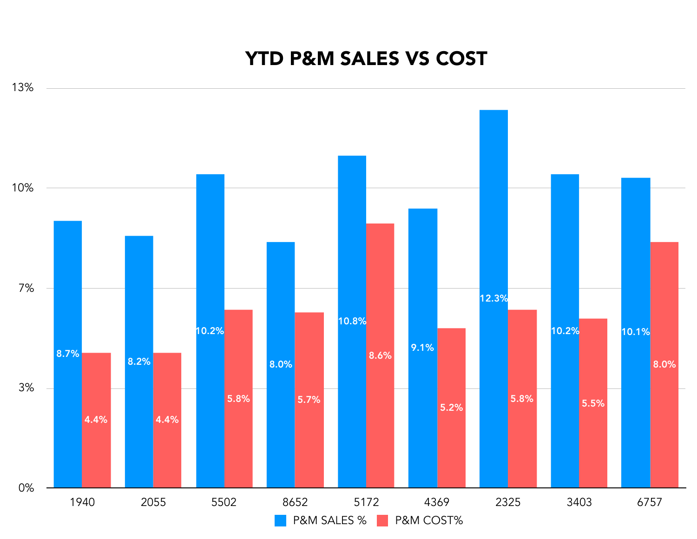#### YTD P&M SALES VS COST

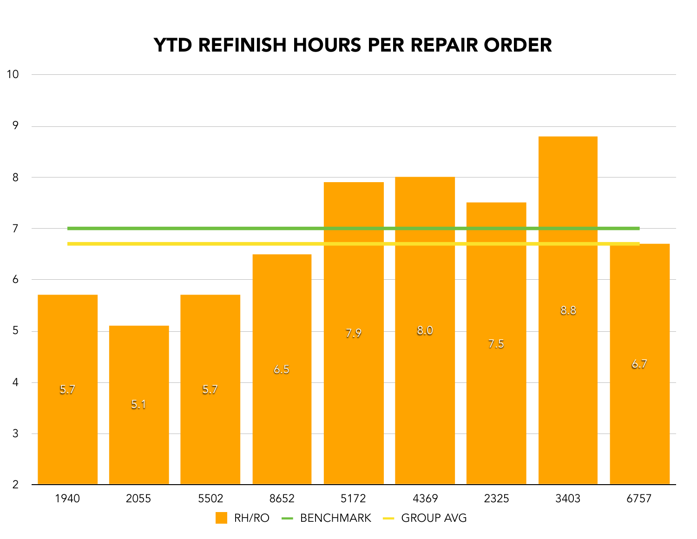### YTD REFINISH HOURS PER REPAIR ORDER

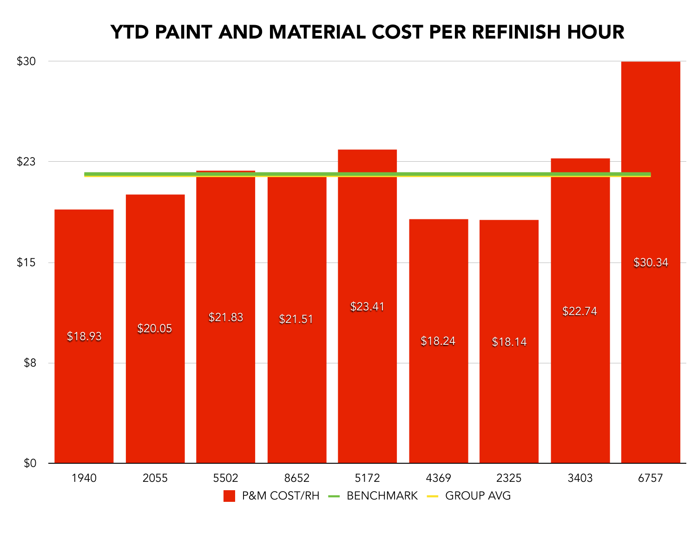#### YTD PAINT AND MATERIAL COST PER REFINISH HOUR

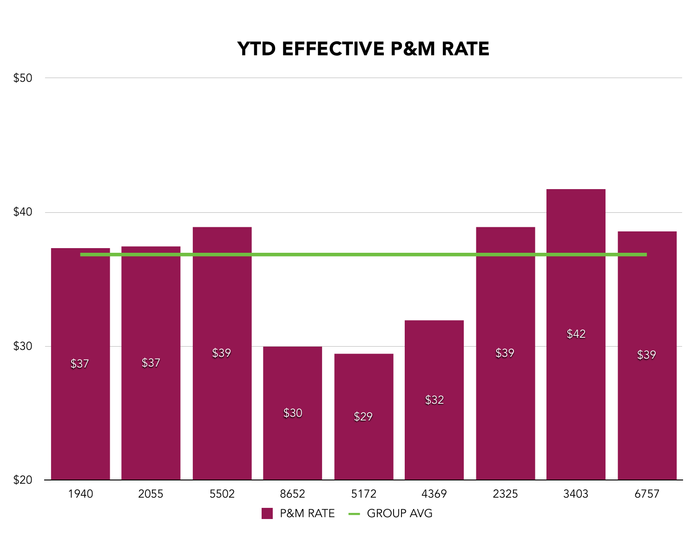### YTD EFFECTIVE P&M RATE

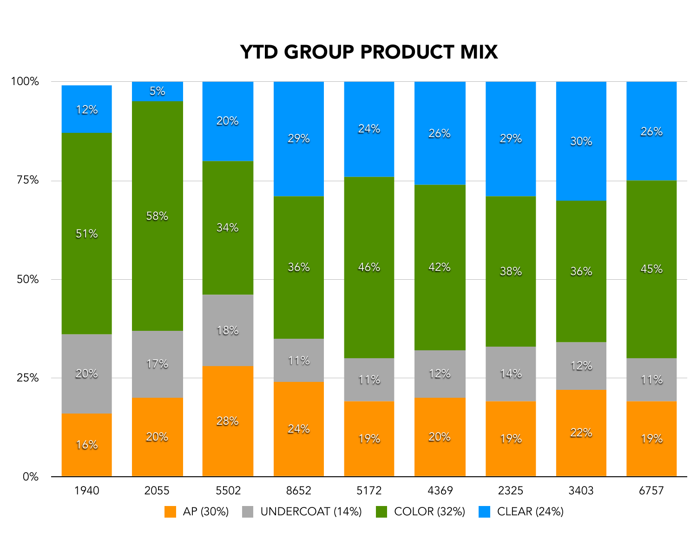# YTD GROUP PRODUCT MIX

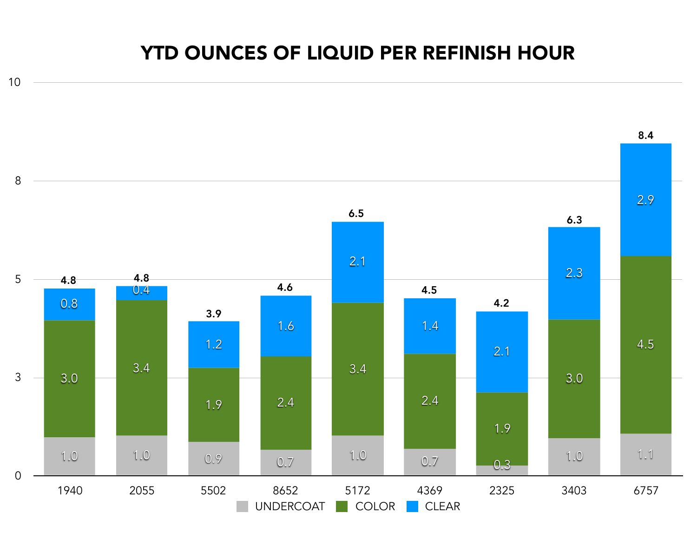### YTD OUNCES OF LIQUID PER REFINISH HOUR